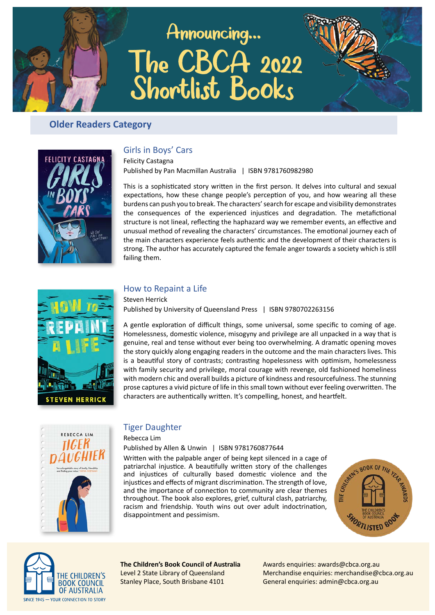# Announcing... The CBCA 2022<br>Shortlist Books



# **Older Readers Category**



# Girls in Boys' Cars

**Felicity Castagna** Published by Pan Macmillan Australia | ISBN 9781760982980

This is a sophisticated story written in the first person. It delves into cultural and sexual expectations, how these change people's perception of you, and how wearing all these burdens can push you to break. The characters' search for escape and visibility demonstrates the consequences of the experienced injustices and degradation. The metafictional structure is not lineal, reflecting the haphazard way we remember events, an effective and unusual method of revealing the characters' circumstances. The emotional journey each of the main characters experience feels authentic and the development of their characters is strong. The author has accurately captured the female anger towards a society which is still failing them.



## How to Repaint a Life

**Steven Herrick** Published by University of Queensland Press | ISBN 9780702263156

A gentle exploration of difficult things, some universal, some specific to coming of age. Homelessness, domestic violence, misogyny and privilege are all unpacked in a way that is genuine, real and tense without ever being too overwhelming. A dramatic opening moves the story quickly along engaging readers in the outcome and the main characters lives. This is a beautiful story of contrasts; contrasting hopelessness with optimism, homelessness with family security and privilege, moral courage with revenge, old fashioned homeliness with modern chic and overall builds a picture of kindness and resourcefulness. The stunning prose captures a vivid picture of life in this small town without ever feeling overwritten. The characters are authentically written. It's compelling, honest, and heartfelt.



## **Tiger Daughter**

Rebecca Lim

### Published by Allen & Unwin | ISBN 9781760877644

Written with the palpable anger of being kept silenced in a cage of patriarchal injustice. A beautifully written story of the challenges and injustices of culturally based domestic violence and the injustices and effects of migrant discrimination. The strength of love, and the importance of connection to community are clear themes throughout. The book also explores, grief, cultural clash, patriarchy, racism and friendship. Youth wins out over adult indoctrination, disappointment and pessimism.





The Children's Book Council of Australia Level 2 State Library of Queensland Stanley Place, South Brisbane 4101

Awards enquiries: awards@cbca.org.au Merchandise enquiries: merchandise@cbca.org.au General enquiries: admin@cbca.org.au